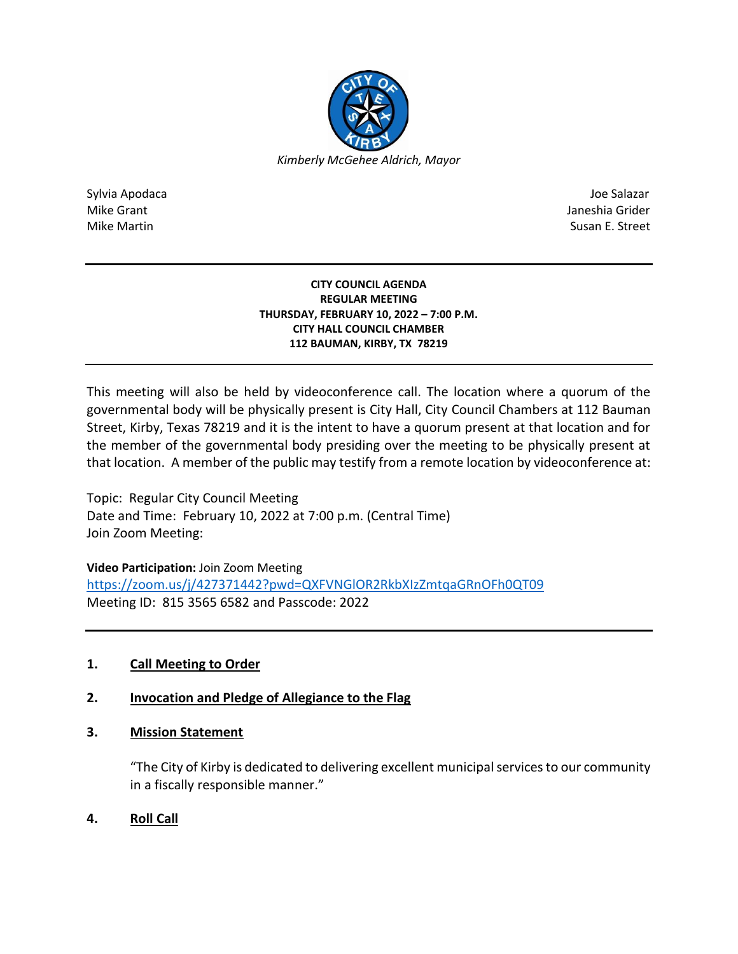

Sylvia Apodaca Joe Salazar Joe Salazar Joe Salazar Joe Salazar Joe Salazar Joe Salazar Joe Salazar Joe Salazar Mike Grant **Janeshia Grider** Janeshia Grider **Janeshia Grider** Janeshia Grider Janeshia Grider Mike Martin Susan E. Street

#### **CITY COUNCIL AGENDA REGULAR MEETING THURSDAY, FEBRUARY 10, 2022 – 7:00 P.M. CITY HALL COUNCIL CHAMBER 112 BAUMAN, KIRBY, TX 78219**

This meeting will also be held by videoconference call. The location where a quorum of the governmental body will be physically present is City Hall, City Council Chambers at 112 Bauman Street, Kirby, Texas 78219 and it is the intent to have a quorum present at that location and for the member of the governmental body presiding over the meeting to be physically present at that location. A member of the public may testify from a remote location by videoconference at:

Topic: Regular City Council Meeting Date and Time: February 10, 2022 at 7:00 p.m. (Central Time) Join Zoom Meeting:

**Video Participation:** Join Zoom Meeting

<https://zoom.us/j/427371442?pwd=QXFVNGlOR2RkbXIzZmtqaGRnOFh0QT09> Meeting ID: 815 3565 6582 and Passcode: 2022

# **1. Call Meeting to Order**

# **2. Invocation and Pledge of Allegiance to the Flag**

## **3. Mission Statement**

"The City of Kirby is dedicated to delivering excellent municipal services to our community in a fiscally responsible manner."

**4. Roll Call**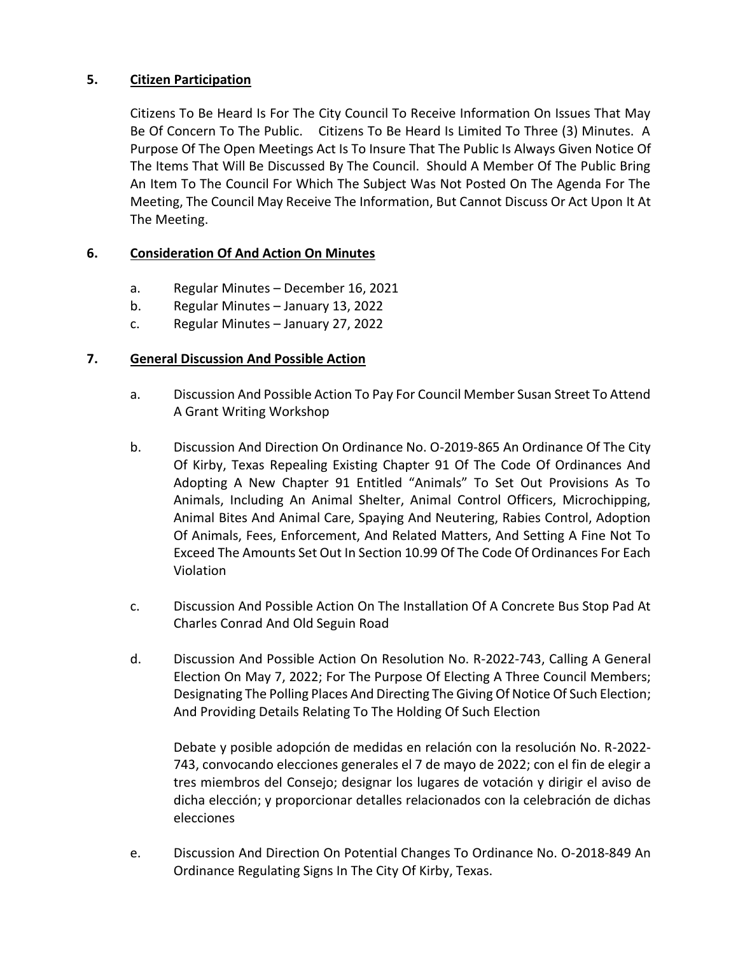## **5. Citizen Participation**

Citizens To Be Heard Is For The City Council To Receive Information On Issues That May Be Of Concern To The Public. Citizens To Be Heard Is Limited To Three (3) Minutes. A Purpose Of The Open Meetings Act Is To Insure That The Public Is Always Given Notice Of The Items That Will Be Discussed By The Council. Should A Member Of The Public Bring An Item To The Council For Which The Subject Was Not Posted On The Agenda For The Meeting, The Council May Receive The Information, But Cannot Discuss Or Act Upon It At The Meeting.

### **6. Consideration Of And Action On Minutes**

- a. Regular Minutes December 16, 2021
- b. Regular Minutes January 13, 2022
- c. Regular Minutes January 27, 2022

### **7. General Discussion And Possible Action**

- a. Discussion And Possible Action To Pay For Council Member Susan Street To Attend A Grant Writing Workshop
- b. Discussion And Direction On Ordinance No. O-2019-865 An Ordinance Of The City Of Kirby, Texas Repealing Existing Chapter 91 Of The Code Of Ordinances And Adopting A New Chapter 91 Entitled "Animals" To Set Out Provisions As To Animals, Including An Animal Shelter, Animal Control Officers, Microchipping, Animal Bites And Animal Care, Spaying And Neutering, Rabies Control, Adoption Of Animals, Fees, Enforcement, And Related Matters, And Setting A Fine Not To Exceed The Amounts Set Out In Section 10.99 Of The Code Of Ordinances For Each Violation
- c. Discussion And Possible Action On The Installation Of A Concrete Bus Stop Pad At Charles Conrad And Old Seguin Road
- d. Discussion And Possible Action On Resolution No. R-2022-743, Calling A General Election On May 7, 2022; For The Purpose Of Electing A Three Council Members; Designating The Polling Places And Directing The Giving Of Notice Of Such Election; And Providing Details Relating To The Holding Of Such Election

Debate y posible adopción de medidas en relación con la resolución No. R-2022- 743, convocando elecciones generales el 7 de mayo de 2022; con el fin de elegir a tres miembros del Consejo; designar los lugares de votación y dirigir el aviso de dicha elección; y proporcionar detalles relacionados con la celebración de dichas elecciones

e. Discussion And Direction On Potential Changes To Ordinance No. O-2018-849 An Ordinance Regulating Signs In The City Of Kirby, Texas.